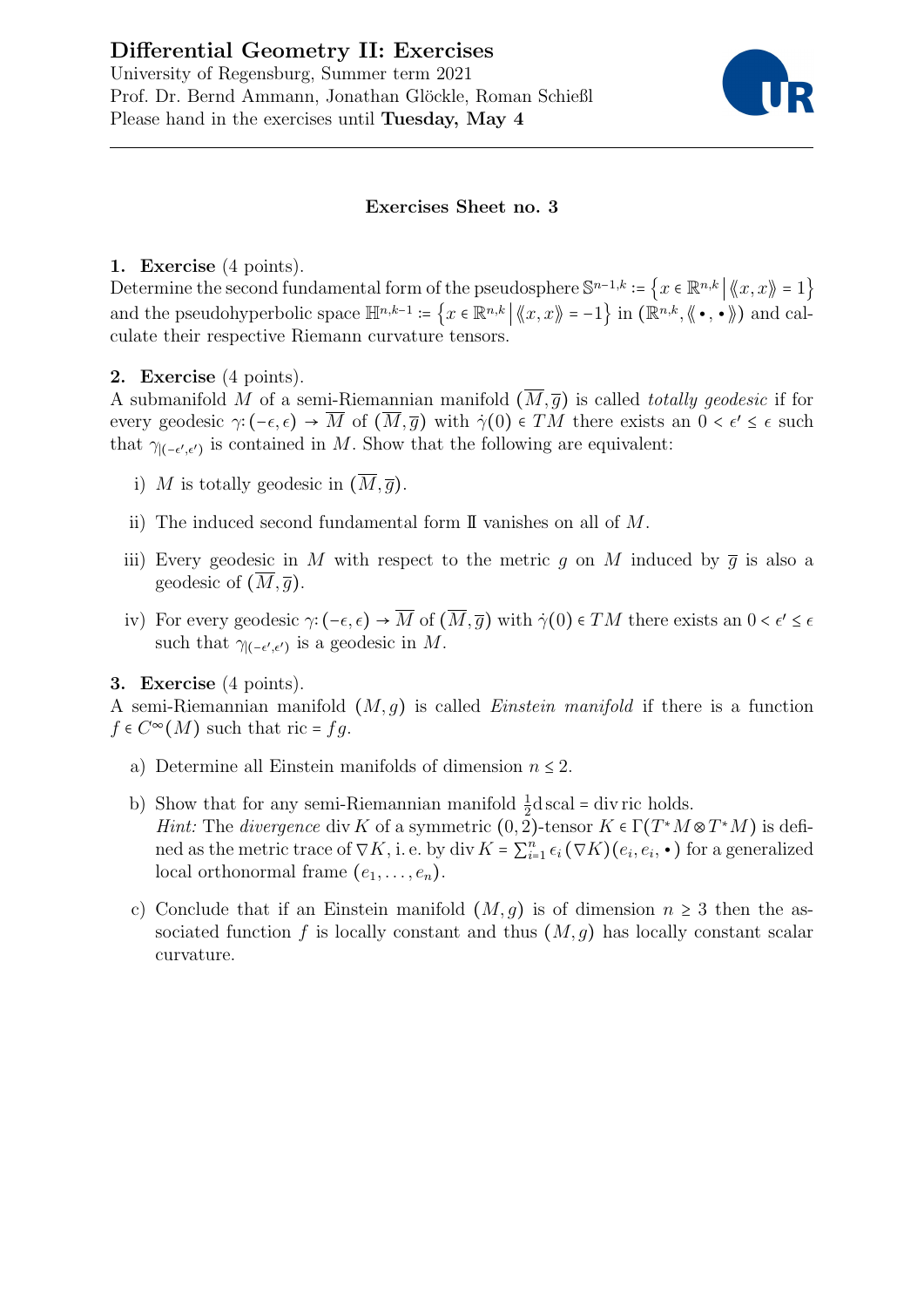# Differential Geometry II: Exercises

University of Regensburg, Summer term 2021 Prof. Dr. Bernd Ammann, Jonathan Glöckle, Roman Schießl Please hand in the exercises until Tuesday, May 4



#### Exercises Sheet no. 3

### 1. Exercise (4 points).

Determine the second fundamental form of the pseudosphere  $\mathbb{S}^{n-1,k} := \{x \in \mathbb{R}^{n,k} \mid \langle x, x \rangle = 1\}$ and the pseudohyperbolic space  $\mathbb{H}^{n,k-1}$  :=  $\{x \in \mathbb{R}^{n,k} \mid \langle\!\langle x, x \rangle\!\rangle = -1\}$  in  $(\mathbb{R}^{n,k}, \langle\!\langle \bullet, \bullet \rangle\!\rangle)$  and calculate their respective Riemann curvature tensors.

# 2. Exercise (4 points).

A submanifold M of a semi-Riemannian manifold  $(\overline{M}, \overline{q})$  is called *totally geodesic* if for every geodesic  $\gamma$ : ( $-\epsilon, \epsilon$ ) → M of  $(M, \bar{g})$  with  $\dot{\gamma}(0) \in TM$  there exists an  $0 < \epsilon' \leq \epsilon$  such that  $\gamma_{(-\epsilon', \epsilon')}$  is contained in M. Show that the following are equivalent:

- i) M is totally geodesic in  $(\overline{M}, \overline{q})$ .
- ii) The induced second fundamental form II vanishes on all of M.
- iii) Every geodesic in M with respect to the metric q on M induced by  $\overline{q}$  is also a geodesic of  $(M, \overline{g})$ .
- iv) For every geodesic  $\gamma: (-\epsilon, \epsilon) \to \overline{M}$  of  $(M, \overline{g})$  with  $\dot{\gamma}(0) \in TM$  there exists an  $0 < \epsilon' \leq \epsilon$ such that  $\gamma_{\vert (-\epsilon',\epsilon')}$  is a geodesic in M.

# 3. Exercise (4 points).

A semi-Riemannian manifold  $(M, q)$  is called *Einstein manifold* if there is a function  $f \in C^{\infty}(M)$  such that ric = fg.

- a) Determine all Einstein manifolds of dimension  $n \leq 2$ .
- b) Show that for any semi-Riemannian manifold  $\frac{1}{2}d$  scal = div ric holds. *Hint:* The *divergence* div K of a symmetric  $(0, 2)$ -tensor  $K \in \Gamma(T^*M \otimes T^*M)$  is defined as the metric trace of  $\nabla K$ , i. e. by div  $K = \sum_{i=1}^{n} \epsilon_i (\nabla K)(e_i, e_i, \bullet)$  for a generalized local orthonormal frame  $(e_1, \ldots, e_n)$ .
- c) Conclude that if an Einstein manifold  $(M, g)$  is of dimension  $n \geq 3$  then the associated function f is locally constant and thus  $(M, g)$  has locally constant scalar curvature.